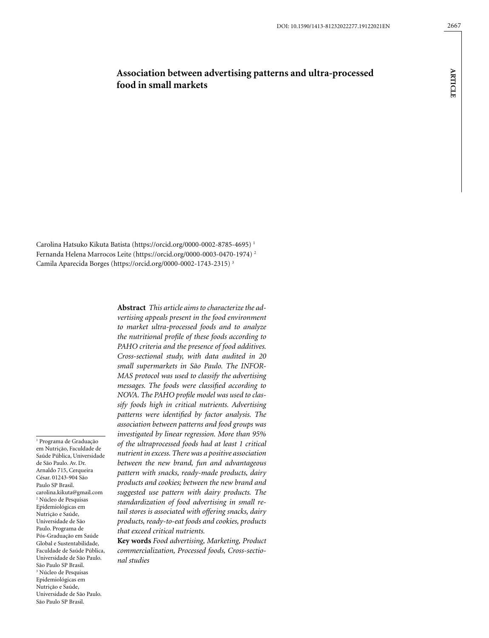**ARTICLE**

**ARTICLE** 

# **Association between advertising patterns and ultra-processed food in small markets**

Carolina Hatsuko Kikuta Batista (https://orcid.org/0000-0002-8785-4695) 1 Fernanda Helena Marrocos Leite (https://orcid.org/0000-0003-0470-1974) 2 Camila Aparecida Borges (https://orcid.org/0000-0002-1743-2315) 3

1 Programa de Graduação em Nutrição, Faculdade de Saúde Pública, Universidade de São Paulo. Av. Dr. Arnaldo 715, Cerqueira César. 01243-904 São Paulo SP Brasil. carolina.kikuta@gmail.com 2 Núcleo de Pesquisas Epidemiológicas em Nutrição e Saúde, Universidade de São Paulo. Programa de Pós-Graduação em Saúde Global e Sustentabilidade, Faculdade de Saúde Pública, Universidade de São Paulo. São Paulo SP Brasil. 3 Núcleo de Pesquisas Epidemiológicas em Nutrição e Saúde, Universidade de São Paulo.

São Paulo SP Brasil.

**Abstract** *This article aims to characterize the advertising appeals present in the food environment to market ultra-processed foods and to analyze the nutritional profile of these foods according to PAHO criteria and the presence of food additives. Cross-sectional study, with data audited in 20 small supermarkets in São Paulo. The INFOR-MAS protocol was used to classify the advertising messages. The foods were classified according to NOVA. The PAHO profile model was used to classify foods high in critical nutrients. Advertising patterns were identified by factor analysis. The association between patterns and food groups was investigated by linear regression. More than 95% of the ultraprocessed foods had at least 1 critical nutrient in excess. There was a positive association between the new brand, fun and advantageous pattern with snacks, ready-made products, dairy products and cookies; between the new brand and suggested use pattern with dairy products. The standardization of food advertising in small retail stores is associated with offering snacks, dairy products, ready-to-eat foods and cookies, products that exceed critical nutrients.*

**Key words** *Food advertising, Marketing, Product commercialization, Processed foods, Cross-sectional studies*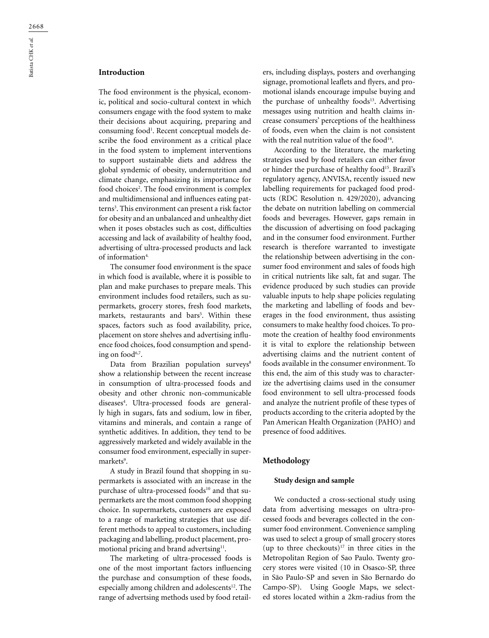### **Introduction**

The food environment is the physical, economic, political and socio-cultural context in which consumers engage with the food system to make their decisions about acquiring, preparing and consuming food<sup>1</sup>. Recent conceptual models describe the food environment as a critical place in the food system to implement interventions to support sustainable diets and address the global syndemic of obesity, undernutrition and climate change, emphasizing its importance for food choices<sup>2</sup>. The food environment is complex and multidimensional and influences eating patterns3 . This environment can present a risk factor for obesity and an unbalanced and unhealthy diet when it poses obstacles such as cost, difficulties accessing and lack of availability of healthy food, advertising of ultra-processed products and lack of information<sup>4</sup>

The consumer food environment is the space in which food is available, where it is possible to plan and make purchases to prepare meals. This environment includes food retailers, such as supermarkets, grocery stores, fresh food markets, markets, restaurants and bars<sup>5</sup>. Within these spaces, factors such as food availability, price, placement on store shelves and advertising influence food choices, food consumption and spending on food<sup>6,7</sup>.

Data from Brazilian population surveys<sup>8</sup> show a relationship between the recent increase in consumption of ultra-processed foods and obesity and other chronic non-communicable diseases4 . Ultra-processed foods are generally high in sugars, fats and sodium, low in fiber, vitamins and minerals, and contain a range of synthetic additives. In addition, they tend to be aggressively marketed and widely available in the consumer food environment, especially in supermarkets<sup>9</sup>.

A study in Brazil found that shopping in supermarkets is associated with an increase in the purchase of ultra-processed foods<sup>10</sup> and that supermarkets are the most common food shopping choice. In supermarkets, customers are exposed to a range of marketing strategies that use different methods to appeal to customers, including packaging and labelling, product placement, promotional pricing and brand advertsing<sup>11</sup>.

The marketing of ultra-processed foods is one of the most important factors influencing the purchase and consumption of these foods, especially among children and adolescents<sup>12</sup>. The range of advertsing methods used by food retailers, including displays, posters and overhanging signage, promotional leaflets and flyers, and promotional islands encourage impulse buying and the purchase of unhealthy foods<sup>13</sup>. Advertising messages using nutrition and health claims increase consumers' perceptions of the healthiness of foods, even when the claim is not consistent with the real nutrition value of the food $14$ .

According to the literature, the marketing strategies used by food retailers can either favor or hinder the purchase of healthy food<sup>15</sup>. Brazil's regulatory agency, ANVISA, recently issued new labelling requirements for packaged food products (RDC Resolution n. 429/2020), advancing the debate on nutrition labelling on commercial foods and beverages. However, gaps remain in the discussion of advertising on food packaging and in the consumer food environment. Further research is therefore warranted to investigate the relationship between advertising in the consumer food environment and sales of foods high in critical nutrients like salt, fat and sugar. The evidence produced by such studies can provide valuable inputs to help shape policies regulating the marketing and labelling of foods and beverages in the food environment, thus assisting consumers to make healthy food choices. To promote the creation of healthy food environments it is vital to explore the relationship between advertising claims and the nutrient content of foods available in the consumer environment. To this end, the aim of this study was to characterize the advertising claims used in the consumer food environment to sell ultra-processed foods and analyze the nutrient profile of these types of products according to the criteria adopted by the Pan American Health Organization (PAHO) and presence of food additives.

#### **Methodology**

#### **Study design and sample**

We conducted a cross-sectional study using data from advertising messages on ultra-processed foods and beverages collected in the consumer food environment. Convenience sampling was used to select a group of small grocery stores (up to three checkouts) $17$  in three cities in the Metropolitan Region of Sao Paulo. Twenty grocery stores were visited (10 in Osasco-SP, three in São Paulo-SP and seven in São Bernardo do Campo-SP). Using Google Maps, we selected stores located within a 2km-radius from the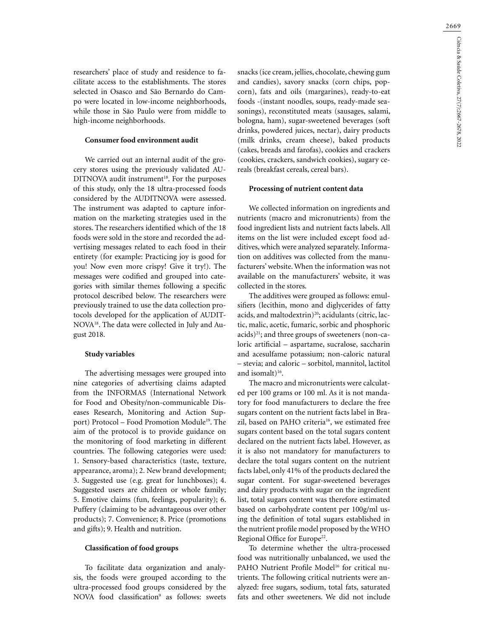2669

researchers' place of study and residence to facilitate access to the establishments. The stores selected in Osasco and São Bernardo do Campo were located in low-income neighborhoods, while those in São Paulo were from middle to high-income neighborhoods.

#### **Consumer food environment audit**

We carried out an internal audit of the grocery stores using the previously validated AU-DITNOVA audit instrument<sup>18</sup>. For the purposes of this study, only the 18 ultra-processed foods considered by the AUDITNOVA were assessed. The instrument was adapted to capture information on the marketing strategies used in the stores. The researchers identified which of the 18 foods were sold in the store and recorded the advertising messages related to each food in their entirety (for example: Practicing joy is good for you! Now even more crispy! Give it try!). The messages were codified and grouped into categories with similar themes following a specific protocol described below. The researchers were previously trained to use the data collection protocols developed for the application of AUDIT-NOVA18. The data were collected in July and August 2018.

#### **Study variables**

The advertising messages were grouped into nine categories of advertising claims adapted from the INFORMAS (International Network for Food and Obesity/non-communicable Diseases Research, Monitoring and Action Support) Protocol – Food Promotion Module<sup>19</sup>. The aim of the protocol is to provide guidance on the monitoring of food marketing in different countries. The following categories were used: 1. Sensory-based characteristics (taste, texture, appearance, aroma); 2. New brand development; 3. Suggested use (e.g. great for lunchboxes); 4. Suggested users are children or whole family; 5. Emotive claims (fun, feelings, popularity); 6. Puffery (claiming to be advantageous over other products); 7. Convenience; 8. Price (promotions and gifts); 9. Health and nutrition.

#### **Classification of food groups**

To facilitate data organization and analysis, the foods were grouped according to the ultra-processed food groups considered by the NOVA food classification<sup>9</sup> as follows: sweets snacks (ice cream, jellies, chocolate, chewing gum and candies), savory snacks (corn chips, popcorn), fats and oils (margarines), ready-to-eat foods -(instant noodles, soups, ready-made seasonings), reconstituted meats (sausages, salami, bologna, ham), sugar-sweetened beverages (soft drinks, powdered juices, nectar), dairy products (milk drinks, cream cheese), baked products (cakes, breads and farofas), cookies and crackers (cookies, crackers, sandwich cookies), sugary cereals (breakfast cereals, cereal bars).

#### **Processing of nutrient content data**

We collected information on ingredients and nutrients (macro and micronutrients) from the food ingredient lists and nutrient facts labels. All items on the list were included except food additives, which were analyzed separately. Information on additives was collected from the manufacturers' website. When the information was not available on the manufacturers' website, it was collected in the stores.

The additives were grouped as follows: emulsifiers (lecithin, mono and diglycerides of fatty acids, and maltodextrin)<sup>20</sup>; acidulants (citric, lactic, malic, acetic, fumaric, sorbic and phosphoric acids)21; and three groups of sweeteners (non-caloric artificial – aspartame, sucralose, saccharin and acesulfame potassium; non-caloric natural – stevia; and caloric – sorbitol, mannitol, lactitol and isomalt)<sup>16</sup>.

The macro and micronutrients were calculated per 100 grams or 100 ml. As it is not mandatory for food manufacturers to declare the free sugars content on the nutrient facts label in Brazil, based on PAHO criteria<sup>16</sup>, we estimated free sugars content based on the total sugars content declared on the nutrient facts label. However, as it is also not mandatory for manufacturers to declare the total sugars content on the nutrient facts label, only 41% of the products declared the sugar content. For sugar-sweetened beverages and dairy products with sugar on the ingredient list, total sugars content was therefore estimated based on carbohydrate content per 100g/ml using the definition of total sugars established in the nutrient profile model proposed by the WHO Regional Office for Europe<sup>22</sup>.

To determine whether the ultra-processed food was nutritionally unbalanced, we used the PAHO Nutrient Profile Model<sup>16</sup> for critical nutrients. The following critical nutrients were analyzed: free sugars, sodium, total fats, saturated fats and other sweeteners. We did not include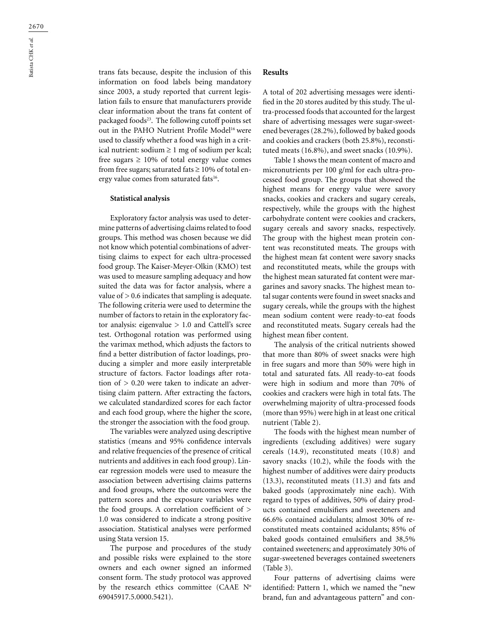trans fats because, despite the inclusion of this information on food labels being mandatory since 2003, a study reported that current legislation fails to ensure that manufacturers provide clear information about the trans fat content of packaged foods<sup>23</sup>. The following cutoff points set out in the PAHO Nutrient Profile Model<sup>16</sup> were used to classify whether a food was high in a critical nutrient: sodium  $\geq 1$  mg of sodium per kcal; free sugars  $\geq 10\%$  of total energy value comes from free sugars; saturated fats  $\geq 10\%$  of total energy value comes from saturated fats<sup>16</sup>.

#### **Statistical analysis**

Exploratory factor analysis was used to determine patterns of advertising claims related to food groups. This method was chosen because we did not know which potential combinations of advertising claims to expect for each ultra-processed food group. The Kaiser-Meyer-Olkin (KMO) test was used to measure sampling adequacy and how suited the data was for factor analysis, where a value of > 0.6 indicates that sampling is adequate. The following criteria were used to determine the number of factors to retain in the exploratory factor analysis: eigenvalue  $> 1.0$  and Cattell's scree test. Orthogonal rotation was performed using the varimax method, which adjusts the factors to find a better distribution of factor loadings, producing a simpler and more easily interpretable structure of factors. Factor loadings after rotation of > 0.20 were taken to indicate an advertising claim pattern. After extracting the factors, we calculated standardized scores for each factor and each food group, where the higher the score, the stronger the association with the food group.

The variables were analyzed using descriptive statistics (means and 95% confidence intervals and relative frequencies of the presence of critical nutrients and additives in each food group). Linear regression models were used to measure the association between advertising claims patterns and food groups, where the outcomes were the pattern scores and the exposure variables were the food groups. A correlation coefficient of > 1.0 was considered to indicate a strong positive association. Statistical analyses were performed using Stata version 15.

The purpose and procedures of the study and possible risks were explained to the store owners and each owner signed an informed consent form. The study protocol was approved by the research ethics committee (CAAE N° 69045917.5.0000.5421).

### **Results**

A total of 202 advertising messages were identified in the 20 stores audited by this study. The ultra-processed foods that accounted for the largest share of advertising messages were sugar-sweetened beverages (28.2%), followed by baked goods and cookies and crackers (both 25.8%), reconstituted meats (16.8%), and sweet snacks (10.9%).

Table 1 shows the mean content of macro and micronutrients per 100 g/ml for each ultra-processed food group. The groups that showed the highest means for energy value were savory snacks, cookies and crackers and sugary cereals, respectively, while the groups with the highest carbohydrate content were cookies and crackers, sugary cereals and savory snacks, respectively. The group with the highest mean protein content was reconstituted meats. The groups with the highest mean fat content were savory snacks and reconstituted meats, while the groups with the highest mean saturated fat content were margarines and savory snacks. The highest mean total sugar contents were found in sweet snacks and sugary cereals, while the groups with the highest mean sodium content were ready-to-eat foods and reconstituted meats. Sugary cereals had the highest mean fiber content.

The analysis of the critical nutrients showed that more than 80% of sweet snacks were high in free sugars and more than 50% were high in total and saturated fats. All ready-to-eat foods were high in sodium and more than 70% of cookies and crackers were high in total fats. The overwhelming majority of ultra-processed foods (more than 95%) were high in at least one critical nutrient (Table 2).

The foods with the highest mean number of ingredients (excluding additives) were sugary cereals (14.9), reconstituted meats (10.8) and savory snacks (10.2), while the foods with the highest number of additives were dairy products (13.3), reconstituted meats (11.3) and fats and baked goods (approximately nine each). With regard to types of additives, 50% of dairy products contained emulsifiers and sweeteners and 66.6% contained acidulants; almost 30% of reconstituted meats contained acidulants; 85% of baked goods contained emulsifiers and 38,5% contained sweeteners; and approximately 30% of sugar-sweetened beverages contained sweeteners (Table 3).

Four patterns of advertising claims were identified: Pattern 1, which we named the "new brand, fun and advantageous pattern" and con-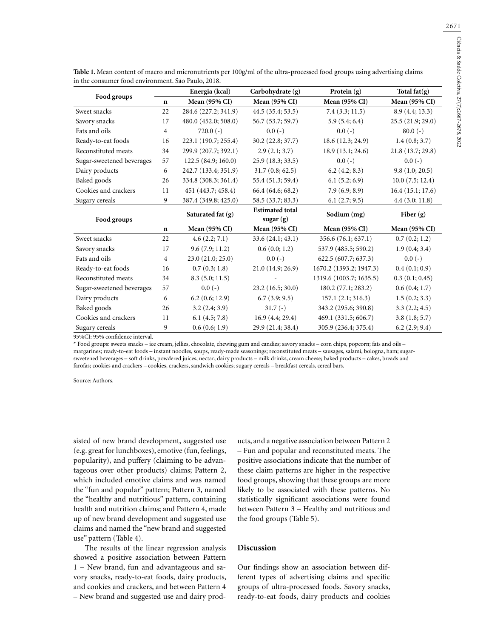|                           |                | Energia (kcal)       | Carbohydrate (g)       | Protein (g)             | Total $fat(g)$    |  |
|---------------------------|----------------|----------------------|------------------------|-------------------------|-------------------|--|
| Food groups               | $\mathbf n$    | <b>Mean (95% CI)</b> | <b>Mean (95% CI)</b>   | Mean (95% CI)           | Mean (95% CI)     |  |
| Sweet snacks              | 22             | 284.6 (227.2; 341.9) | 44.5 (35.4; 53.5)      | 7.4(3.3; 11.5)          | 8.9(4.4; 13.3)    |  |
| Savory snacks             | 17             | 480.0 (452.0; 508.0) | 56.7 (53.7; 59.7)      | 5.9(5.4; 6.4)           | 25.5 (21.9; 29.0) |  |
| Fats and oils             | $\overline{4}$ | $720.0(-)$           | $0.0(-)$               | $0.0(-)$                | $80.0(-)$         |  |
| Ready-to-eat foods        | 16             | 223.1 (190.7; 255.4) | 30.2 (22.8; 37.7)      | 18.6 (12.3; 24.9)       | 1.4(0.8; 3.7)     |  |
| Reconstituted meats       | 34             | 299.9 (207.7; 392.1) | 2.9(2.1; 3.7)          | 18.9 (13.1; 24.6)       | 21.8 (13.7; 29.8) |  |
| Sugar-sweetened beverages | 57             | 122.5(84.9;160.0)    | 25.9(18.3; 33.5)       | $0.0(-)$                | $0.0(-)$          |  |
| Dairy products            | 6              | 242.7 (133.4; 351.9) | 31.7(0.8; 62.5)        | 6.2(4.2; 8.3)           | 9.8(1.0; 20.5)    |  |
| Baked goods               | 26             | 334.8 (308.3; 361.4) | 55.4 (51.3; 59.4)      | 6.1(5.2; 6.9)           | 10.0(7.5; 12.4)   |  |
| Cookies and crackers      | 11             | 451 (443.7; 458.4)   | 66.4(64.6; 68.2)       | 7.9(6.9; 8.9)           | 16.4(15.1; 17.6)  |  |
| Sugary cereals            | 9              | 387.4 (349.8; 425.0) | 58.5 (33.7; 83.3)      | 6.1(2.7; 9.5)           | 4.4(3.0; 11.8)    |  |
|                           |                | Saturated fat (g)    | <b>Estimated total</b> | Sodium (mg)             | Fiber $(g)$       |  |
| Food groups               |                |                      | sugar(g)               |                         |                   |  |
|                           | $\mathbf n$    | Mean (95% CI)        | Mean (95% CI)          | <b>Mean (95% CI)</b>    | Mean (95% CI)     |  |
| Sweet snacks              | 22             | 4.6(2.2; 7.1)        | 33.6(24.1; 43.1)       | 356.6 (76.1; 637.1)     | 0.7(0.2; 1.2)     |  |
| Savory snacks             | 17             | 9.6(7.9; 11.2)       | 0.6(0.0; 1.2)          | 537.9 (485.5; 590.2)    | 1.9(0.4; 3.4)     |  |
| Fats and oils             | $\overline{4}$ | 23.0 (21.0; 25.0)    | $0.0(-)$               | 622.5 (607.7; 637.3)    | $0.0(-)$          |  |
| Ready-to-eat foods        | 16             | 0.7(0.3; 1.8)        | 21.0(14.9; 26.9)       | 1670.2 (1393.2; 1947.3) | 0.4(0.1;0.9)      |  |
| Reconstituted meats       | 34             | 8.3(5.0; 11.5)       |                        | 1319.6 (1003.7; 1635.5) | 0.3(0.1; 0.45)    |  |
| Sugar-sweetened beverages | 57             | $0.0(-)$             | 23.2(16.5; 30.0)       | 180.2 (77.1; 283.2)     | 0.6(0.4; 1.7)     |  |
| Dairy products            | 6              | 6.2(0.6; 12.9)       | 6.7(3.9; 9.5)          | 157.1(2.1; 316.3)       | 1.5(0.2; 3.3)     |  |
| Baked goods               | 26             | 3.2(2.4; 3.9)        | $31.7(-)$              | 343.2 (295.6; 390.8)    | 3.3(2.2; 4.5)     |  |
| Cookies and crackers      | 11             | 6.1(4.5; 7.8)        | 16.9(4.4; 29.4)        | 469.1 (331.5; 606.7)    | 3.8(1.8; 5.7)     |  |
| Sugary cereals            | 9              | 0.6(0.6; 1.9)        | 29.9 (21.4; 38.4)      | 305.9 (236.4; 375.4)    | 6.2(2.9; 9.4)     |  |

**Table 1.** Mean content of macro and micronutrients per 100g/ml of the ultra-processed food groups using advertising claims in the consumer food environment. São Paulo, 2018.

95%CI: 95% confidence interval.

\* Food groups: sweets snacks – ice cream, jellies, chocolate, chewing gum and candies; savory snacks – corn chips, popcorn; fats and oils – margarines; ready-to-eat foods – instant noodles, soups, ready-made seasonings; reconstituted meats – sausages, salami, bologna, ham; sugarsweetened beverages – soft drinks, powdered juices, nectar; dairy products – milk drinks, cream cheese; baked products – cakes, breads and farofas; cookies and crackers – cookies, crackers, sandwich cookies; sugary cereals – breakfast cereals, cereal bars.

Source: Authors.

sisted of new brand development, suggested use (e.g. great for lunchboxes), emotive (fun, feelings, popularity), and puffery (claiming to be advantageous over other products) claims; Pattern 2, which included emotive claims and was named the "fun and popular" pattern; Pattern 3, named the "healthy and nutritious" pattern, containing health and nutrition claims; and Pattern 4, made up of new brand development and suggested use claims and named the "new brand and suggested use" pattern (Table 4).

The results of the linear regression analysis showed a positive association between Pattern 1 – New brand, fun and advantageous and savory snacks, ready-to-eat foods, dairy products, and cookies and crackers, and between Pattern 4 – New brand and suggested use and dairy products, and a negative association between Pattern 2 – Fun and popular and reconstituted meats. The positive associations indicate that the number of these claim patterns are higher in the respective food groups, showing that these groups are more likely to be associated with these patterns. No statistically significant associations were found between Pattern 3 – Healthy and nutritious and the food groups (Table 5).

### **Discussion**

Our findings show an association between different types of advertising claims and specific groups of ultra-processed foods. Savory snacks, ready-to-eat foods, dairy products and cookies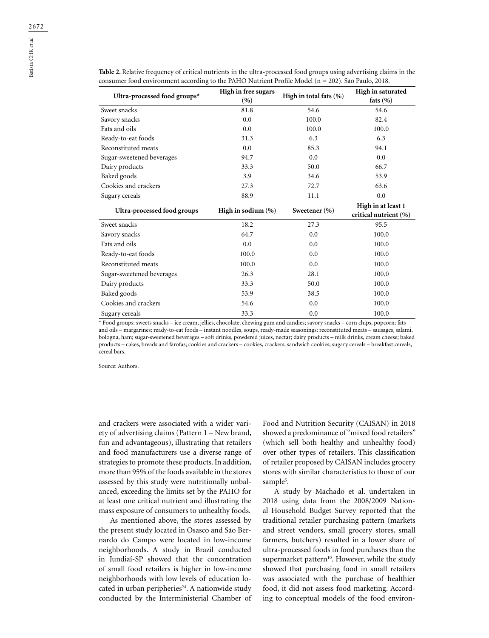Batista CHK *et al.*

**Ultra-processed food groups\* High in free sugars (%) High in total fats (%) High in saturated fats (%)** Sweet snacks 81.8 54.6 54.6 Savory snacks 6.0 100.0 100.0 82.4 Fats and oils **100.0** 100.0 100.0 100.0 100.0 Ready-to-eat foods 31.3 6.3 6.3 Reconstituted meats **0.0** 85.3 94.1 Sugar-sweetened beverages 94.7 0.0 0.0 Dairy products 33.3 50.0 66.7 Baked goods 3.9 34.6 53.9 Cookies and crackers 27.3 72.7 63.6 Sugary cereals 88.9 11.1 0.0 **Ultra-processed food groups High in sodium (%) Sweetener (%) High in at least 1 critical nutrient (%)** Sweet snacks 18.2 27.3 95.5 Savory snacks 64.7 0.0 100.0 100.0 Fats and oils **help in the contract of the contract of the contract of the contract of the contract of the contract of the contract of the contract of the contract of the contract of the contract of the contract of the con** Ready-to-eat foods 100.0 0.0 0.0 100.0 100.0 Reconstituted meats 100.0 0.0 0.0 100.0 Sugar-sweetened beverages 26.3 28.1 100.0 Dairy products 33.3 50.0 100.0 Baked goods 53.9 38.5 100.0 Cookies and crackers  $54.6$  0.0 100.0 Sugary cereals 33.3 0.0 100.0 100.0

**Table 2.** Relative frequency of critical nutrients in the ultra-processed food groups using advertising claims in the consumer food environment according to the PAHO Nutrient Profile Model (n = 202). São Paulo, 2018.

\* Food groups: sweets snacks – ice cream, jellies, chocolate, chewing gum and candies; savory snacks – corn chips, popcorn; fats and oils – margarines; ready-to-eat foods – instant noodles, soups, ready-made seasonings; reconstituted meats – sausages, salami, bologna, ham; sugar-sweetened beverages – soft drinks, powdered juices, nectar; dairy products – milk drinks, cream cheese; baked products – cakes, breads and farofas; cookies and crackers – cookies, crackers, sandwich cookies; sugary cereals – breakfast cereals, cereal bars.

Source: Authors.

and crackers were associated with a wider variety of advertising claims (Pattern 1 – New brand, fun and advantageous), illustrating that retailers and food manufacturers use a diverse range of strategies to promote these products. In addition, more than 95% of the foods available in the stores assessed by this study were nutritionally unbalanced, exceeding the limits set by the PAHO for at least one critical nutrient and illustrating the mass exposure of consumers to unhealthy foods.

As mentioned above, the stores assessed by the present study located in Osasco and São Bernardo do Campo were located in low-income neighborhoods. A study in Brazil conducted in Jundiaí-SP showed that the concentration of small food retailers is higher in low-income neighborhoods with low levels of education located in urban peripheries $24$ . A nationwide study conducted by the Interministerial Chamber of Food and Nutrition Security (CAISAN) in 2018 showed a predominance of "mixed food retailers" (which sell both healthy and unhealthy food) over other types of retailers. This classification of retailer proposed by CAISAN includes grocery stores with similar characteristics to those of our sample<sup>5</sup>.

A study by Machado et al. undertaken in 2018 using data from the 2008/2009 National Household Budget Survey reported that the traditional retailer purchasing pattern (markets and street vendors, small grocery stores, small farmers, butchers) resulted in a lower share of ultra-processed foods in food purchases than the supermarket pattern<sup>10</sup>. However, while the study showed that purchasing food in small retailers was associated with the purchase of healthier food, it did not assess food marketing. According to conceptual models of the food environ-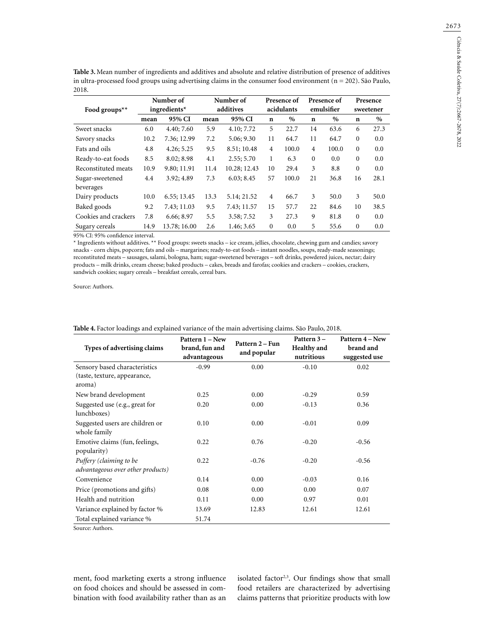| Table 3. Mean number of ingredients and additives and absolute and relative distribution of presence of additives  |
|--------------------------------------------------------------------------------------------------------------------|
| in ultra-processed food groups using advertising claims in the consumer food environment ( $n = 202$ ). São Paulo, |
| 2018.                                                                                                              |

|                           | Number of<br>ingredients $*$ |              | Number of<br>additives |              | Presence of<br>acidulants |       | Presence of<br>emulsifier |       | Presence<br>sweetener |      |
|---------------------------|------------------------------|--------------|------------------------|--------------|---------------------------|-------|---------------------------|-------|-----------------------|------|
| Food groups <sup>**</sup> |                              |              |                        |              |                           |       |                           |       |                       |      |
|                           | mean                         | 95% CI       | mean                   | 95% CI       | $\mathbf n$               | $\%$  | $\mathbf n$               | $\%$  | $\mathbf n$           | $\%$ |
| Sweet snacks              | 6.0                          | 4.40; 7.60   | 5.9                    | 4.10; 7.72   | 5                         | 22.7  | 14                        | 63.6  | 6                     | 27.3 |
| Savory snacks             | 10.2                         | 7.36; 12.99  | 7.2                    | 5.06; 9.30   | 11                        | 64.7  | 11                        | 64.7  | $\mathbf{0}$          | 0.0  |
| Fats and oils             | 4.8                          | 4.26; 5.25   | 9.5                    | 8.51; 10.48  | 4                         | 100.0 | 4                         | 100.0 | $\Omega$              | 0.0  |
| Ready-to-eat foods        | 8.5                          | 8.02; 8.98   | 4.1                    | 2.55; 5.70   | 1                         | 6.3   | $\mathbf{0}$              | 0.0   | $\mathbf{0}$          | 0.0  |
| Reconstituted meats       | 10.9                         | 9.80; 11.91  | 11.4                   | 10.28; 12.43 | 10                        | 29.4  | 3                         | 8.8   | $\Omega$              | 0.0  |
| Sugar-sweetened           | 4.4                          | 3.92; 4.89   | 7.3                    | 6.03; 8.45   | 57                        | 100.0 | 21                        | 36.8  | 16                    | 28.1 |
| beverages                 |                              |              |                        |              |                           |       |                           |       |                       |      |
| Dairy products            | 10.0                         | 6.55; 13.45  | 13.3                   | 5.14; 21.52  | 4                         | 66.7  | 3                         | 50.0  | 3                     | 50.0 |
| Baked goods               | 9.2                          | 7.43; 11.03  | 9.5                    | 7.43; 11.57  | 15                        | 57.7  | 22                        | 84.6  | 10                    | 38.5 |
| Cookies and crackers      | 7.8                          | 6.66; 8.97   | 5.5                    | 3.58; 7.52   | 3                         | 27.3  | 9                         | 81.8  | $\Omega$              | 0.0  |
| Sugary cereals            | 14.9                         | 13.78; 16.00 | 2.6                    | 1.46; 3.65   | $\mathbf{0}$              | 0.0   | 5                         | 55.6  | $\mathbf{0}$          | 0.0  |

95% CI: 95% confidence interval.

\* Ingredients without additives. \*\* Food groups: sweets snacks – ice cream, jellies, chocolate, chewing gum and candies; savory snacks - corn chips, popcorn; fats and oils – margarines; ready-to-eat foods – instant noodles, soups, ready-made seasonings; reconstituted meats – sausages, salami, bologna, ham; sugar-sweetened beverages – soft drinks, powdered juices, nectar; dairy products – milk drinks, cream cheese; baked products – cakes, breads and farofas; cookies and crackers – cookies, crackers, sandwich cookies; sugary cereals – breakfast cereals, cereal bars.

Source: Authors.

| Types of advertising claims                                  | Pattern 1 – New<br>brand, fun and<br>advantageous | Pattern 2 – Fun<br>and popular | Pattern 3-<br><b>Healthy</b> and<br>nutritious | Pattern 4 – New<br>brand and<br>suggested use |
|--------------------------------------------------------------|---------------------------------------------------|--------------------------------|------------------------------------------------|-----------------------------------------------|
| Sensory based characteristics                                | $-0.99$                                           | 0.00                           | $-0.10$                                        | 0.02                                          |
| (taste, texture, appearance,<br>aroma)                       |                                                   |                                |                                                |                                               |
| New brand development                                        | 0.25                                              | 0.00                           | $-0.29$                                        | 0.59                                          |
| Suggested use (e.g., great for<br>lunchboxes)                | 0.20                                              | 0.00                           | $-0.13$                                        | 0.36                                          |
| Suggested users are children or<br>whole family              | 0.10                                              | 0.00                           | $-0.01$                                        | 0.09                                          |
| Emotive claims (fun, feelings,<br>popularity)                | 0.22                                              | 0.76                           | $-0.20$                                        | $-0.56$                                       |
| Puffery (claiming to be<br>advantageous over other products) | 0.22                                              | $-0.76$                        | $-0.20$                                        | $-0.56$                                       |
| Convenience                                                  | 0.14                                              | 0.00                           | $-0.03$                                        | 0.16                                          |
| Price (promotions and gifts)                                 | 0.08                                              | 0.00                           | 0.00                                           | 0.07                                          |
| Health and nutrition                                         | 0.11                                              | 0.00                           | 0.97                                           | 0.01                                          |
| Variance explained by factor %                               | 13.69                                             | 12.83                          | 12.61                                          | 12.61                                         |
| Total explained variance %                                   | 51.74                                             |                                |                                                |                                               |

**Table 4.** Factor loadings and explained variance of the main advertising claims. São Paulo, 2018.

Source: Authors.

ment, food marketing exerts a strong influence on food choices and should be assessed in combination with food availability rather than as an isolated factor<sup>2,3</sup>. Our findings show that small food retailers are characterized by advertising claims patterns that prioritize products with low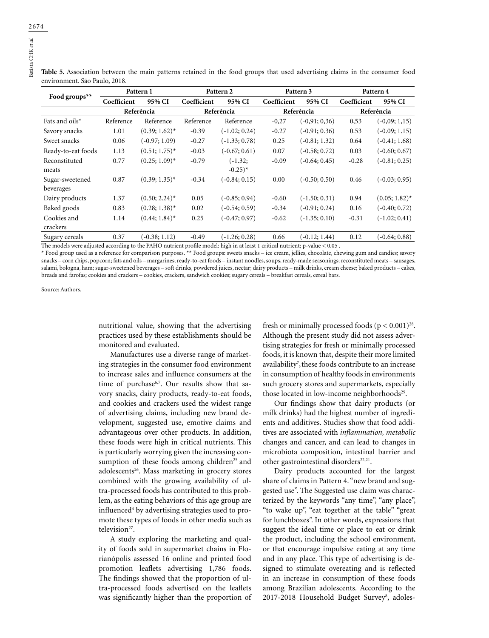**Table 5.** Association between the main patterns retained in the food groups that used advertising claims in the consumer food environment. São Paulo, 2018.

|                    | Pattern 1   |                  | Pattern 2   |                      |             | Pattern 3       | Pattern 4   |                  |
|--------------------|-------------|------------------|-------------|----------------------|-------------|-----------------|-------------|------------------|
| Food groups**      | Coefficient | 95% CI           | Coefficient | 95% CI               | Coefficient | 95% CI          | Coefficient | 95% CI           |
|                    | Referência  |                  | Referência  |                      | Referência  |                 | Referência  |                  |
| Fats and oils*     | Reference   | Reference        | Reference   | Reference            | $-0,27$     | $(-0.91; 0.36)$ | 0,53        | $(-0.09; 1.15)$  |
| Savory snacks      | 1.01        | $(0.39; 1.62)^*$ | $-0.39$     | $(-1.02; 0.24)$      | $-0.27$     | $(-0.91; 0.36)$ | 0.53        | $(-0.09; 1.15)$  |
| Sweet snacks       | 0.06        | $(-0.97; 1.09)$  | $-0.27$     | $(-1.33; 0.78)$      | 0.25        | $(-0.81; 1.32)$ | 0.64        | $(-0.41; 1.68)$  |
| Ready-to-eat foods | 1.13        | $(0.51; 1.75)^*$ | $-0.03$     | $(-0.67; 0.61)$      | 0.07        | $(-0.58; 0.72)$ | 0.03        | $(-0.60; 0.67)$  |
| Reconstituted      | 0.77        | $(0.25; 1.09)^*$ | $-0.79$     | $(-1.32;$            | $-0.09$     | $(-0.64; 0.45)$ | $-0.28$     | $(-0.81; 0.25)$  |
| meats              |             |                  |             | $-0.25$ <sup>*</sup> |             |                 |             |                  |
| Sugar-sweetened    | 0.87        | $(0.39; 1.35)^*$ | $-0.34$     | $(-0.84; 0.15)$      | 0.00        | $(-0.50; 0.50)$ | 0.46        | $(-0.03; 0.95)$  |
| beverages          |             |                  |             |                      |             |                 |             |                  |
| Dairy products     | 1.37        | $(0.50; 2.24)^*$ | 0.05        | $(-0.85; 0.94)$      | $-0.60$     | $(-1.50; 0.31)$ | 0.94        | $(0.05; 1.82)^*$ |
| Baked goods        | 0.83        | $(0.28; 1.38)^*$ | 0.02        | $(-0.54; 0.59)$      | $-0.34$     | $(-0.91; 0.24)$ | 0.16        | $(-0.40; 0.72)$  |
| Cookies and        | 1.14        | $(0.44; 1.84)^*$ | 0.25        | $(-0.47; 0.97)$      | $-0.62$     | $(-1.35; 0.10)$ | $-0.31$     | $(-1.02; 0.41)$  |
| crackers           |             |                  |             |                      |             |                 |             |                  |
| Sugary cereals     | 0.37        | $(-0.38; 1.12)$  | $-0.49$     | $(-1.26; 0.28)$      | 0.66        | $(-0.12; 1.44)$ | 0.12        | $-0.64; 0.88)$   |

The models were adjusted according to the PAHO nutrient profile model: high in at least 1 critical nutrient; p-value < 0.05 .

\* Food group used as a reference for comparison purposes. \*\* Food groups: sweets snacks – ice cream, jellies, chocolate, chewing gum and candies; savory snacks – corn chips, popcorn; fats and oils – margarines; ready-to-eat foods – instant noodles, soups, ready-made seasonings; reconstituted meats – sausages, salami, bologna, ham; sugar-sweetened beverages – soft drinks, powdered juices, nectar; dairy products – milk drinks, cream cheese; baked products – cakes, breads and farofas; cookies and crackers – cookies, crackers, sandwich cookies; sugary cereals – breakfast cereals, cereal bars.

Source: Authors.

nutritional value, showing that the advertising practices used by these establishments should be monitored and evaluated.

Manufactures use a diverse range of marketing strategies in the consumer food environment to increase sales and influence consumers at the time of purchase<sup>6,7</sup>. Our results show that savory snacks, dairy products, ready-to-eat foods, and cookies and crackers used the widest range of advertising claims, including new brand development, suggested use, emotive claims and advantageous over other products. In addition, these foods were high in critical nutrients. This is particularly worrying given the increasing consumption of these foods among children<sup>25</sup> and adolescents<sup>26</sup>. Mass marketing in grocery stores combined with the growing availability of ultra-processed foods has contributed to this problem, as the eating behaviors of this age group are influenced4 by advertising strategies used to promote these types of foods in other media such as television<sup>27</sup>.

A study exploring the marketing and quality of foods sold in supermarket chains in Florianópolis assessed 16 online and printed food promotion leaflets advertising 1,786 foods. The findings showed that the proportion of ultra-processed foods advertised on the leaflets was significantly higher than the proportion of fresh or minimally processed foods  $(p < 0.001)^{28}$ . Although the present study did not assess advertising strategies for fresh or minimally processed foods, it is known that, despite their more limited availability7 ,these foods contribute to an increase in consumption of healthy foods in environments such grocery stores and supermarkets, especially those located in low-income neighborhoods<sup>29</sup>.

Our findings show that dairy products (or milk drinks) had the highest number of ingredients and additives. Studies show that food additives are associated with *inflammation, metabolic* changes and cancer, and can lead to changes in microbiota composition, intestinal barrier and other gastrointestinal disorders<sup>22,21</sup>.

Dairy products accounted for the largest share of claims in Pattern 4. "new brand and suggested use". The Suggested use claim was characterized by the keywords "any time", "any place", "to wake up", "eat together at the table" "great for lunchboxes". In other words, expressions that suggest the ideal time or place to eat or drink the product, including the school environment, or that encourage impulsive eating at any time and in any place. This type of advertising is designed to stimulate overeating and is reflected in an increase in consumption of these foods among Brazilian adolescents. According to the 2017-2018 Household Budget Survey<sup>8</sup>, adoles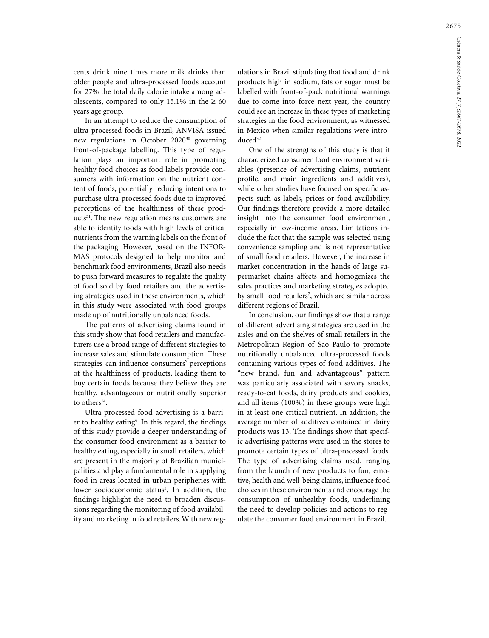cents drink nine times more milk drinks than older people and ultra-processed foods account for 27% the total daily calorie intake among adolescents, compared to only 15.1% in the  $\geq 60$ years age group.

In an attempt to reduce the consumption of ultra-processed foods in Brazil, ANVISA issued new regulations in October 2020<sup>30</sup> governing front-of-package labelling. This type of regulation plays an important role in promoting healthy food choices as food labels provide consumers with information on the nutrient content of foods, potentially reducing intentions to purchase ultra-processed foods due to improved perceptions of the healthiness of these products<sup>31</sup>. The new regulation means customers are able to identify foods with high levels of critical nutrients from the warning labels on the front of the packaging. However, based on the INFOR-MAS protocols designed to help monitor and benchmark food environments, Brazil also needs to push forward measures to regulate the quality of food sold by food retailers and the advertising strategies used in these environments, which in this study were associated with food groups made up of nutritionally unbalanced foods.

The patterns of advertising claims found in this study show that food retailers and manufacturers use a broad range of different strategies to increase sales and stimulate consumption. These strategies can influence consumers' perceptions of the healthiness of products, leading them to buy certain foods because they believe they are healthy, advantageous or nutritionally superior to others<sup>14</sup>.

Ultra-processed food advertising is a barrier to healthy eating<sup>4</sup>. In this regard, the findings of this study provide a deeper understanding of the consumer food environment as a barrier to healthy eating, especially in small retailers, which are present in the majority of Brazilian municipalities and play a fundamental role in supplying food in areas located in urban peripheries with lower socioeconomic status<sup>5</sup>. In addition, the findings highlight the need to broaden discussions regarding the monitoring of food availability and marketing in food retailers. With new reg-

ulations in Brazil stipulating that food and drink products high in sodium, fats or sugar must be labelled with front-of-pack nutritional warnings due to come into force next year, the country could see an increase in these types of marketing strategies in the food environment, as witnessed in Mexico when similar regulations were introduced<sup>32</sup>.

One of the strengths of this study is that it characterized consumer food environment variables (presence of advertising claims, nutrient profile, and main ingredients and additives), while other studies have focused on specific aspects such as labels, prices or food availability. Our findings therefore provide a more detailed insight into the consumer food environment, especially in low-income areas. Limitations include the fact that the sample was selected using convenience sampling and is not representative of small food retailers. However, the increase in market concentration in the hands of large supermarket chains affects and homogenizes the sales practices and marketing strategies adopted by small food retailers7 , which are similar across different regions of Brazil.

In conclusion, our findings show that a range of different advertising strategies are used in the aisles and on the shelves of small retailers in the Metropolitan Region of Sao Paulo to promote nutritionally unbalanced ultra-processed foods containing various types of food additives. The "new brand, fun and advantageous" pattern was particularly associated with savory snacks, ready-to-eat foods, dairy products and cookies, and all items (100%) in these groups were high in at least one critical nutrient. In addition, the average number of additives contained in dairy products was 13. The findings show that specific advertising patterns were used in the stores to promote certain types of ultra-processed foods. The type of advertising claims used, ranging from the launch of new products to fun, emotive, health and well-being claims, influence food choices in these environments and encourage the consumption of unhealthy foods, underlining the need to develop policies and actions to regulate the consumer food environment in Brazil.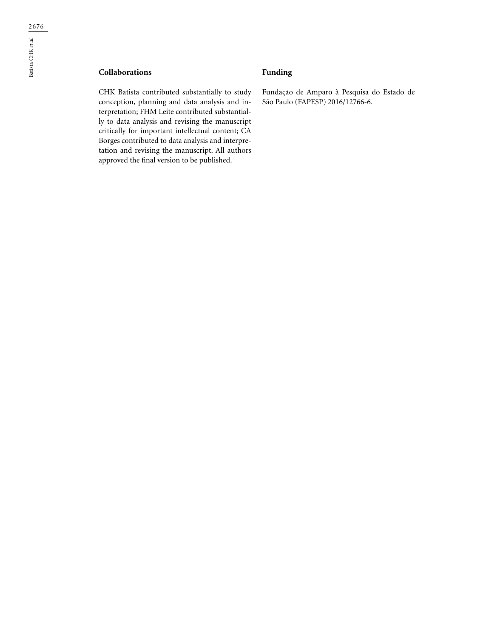## **Collaborations**

CHK Batista contributed substantially to study conception, planning and data analysis and interpretation; FHM Leite contributed substantially to data analysis and revising the manuscript critically for important intellectual content; CA Borges contributed to data analysis and interpretation and revising the manuscript. All authors approved the final version to be published.

## **Funding**

Fundação de Amparo à Pesquisa do Estado de São Paulo (FAPESP) 2016/12766-6.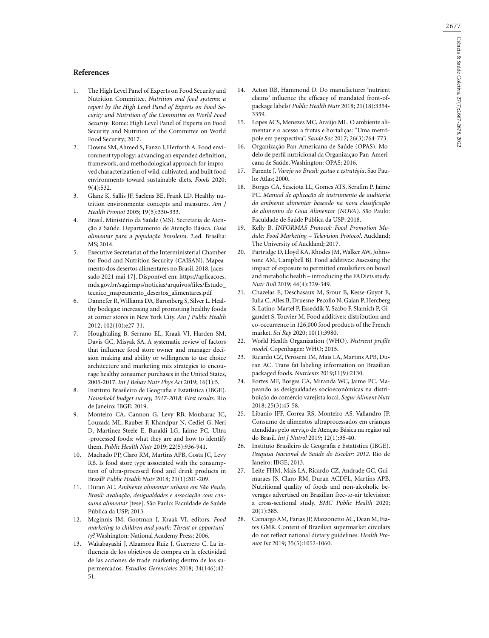#### **References**

- 1. The High Level Panel of Experts on Food Security and Nutrition Committee. *Nutrition and food systems: a report by the High Level Panel of Experts on Food Security and Nutrition of the Committee on World Food Security*. Rome: High Level Panel of Experts on Food Security and Nutrition of the Committee on World Food Security; 2017.
- 2. Downs SM, Ahmed S, Fanzo J, Herforth A. Food environment typology: advancing an expanded definition, framework, and methodological approach for improved characterization of wild, cultivated, and built food environments toward sustainable diets. *Foods* 2020;  $9(4):532.$
- 3. Glanz K, Sallis JF, Saelens BE, Frank LD. Healthy nutrition environments: concepts and measures. *Am J Health Promot* 2005; 19(5):330-333.
- 4. Brasil. Ministério da Saúde (MS). Secretaria de Atenção à Saúde. Departamento de Atenção Básica. *Guia alimentar para a população brasileira*. 2.ed. Brasília: MS; 2014.
- 5. Executive Secretariat of the Interministerial Chamber for Food and Nutrition Security (CAISAN). Mapeamento dos desertos alimentares no Brasil. 2018. [acessado 2021 mai 17]. Disponível em: https://aplicacoes. mds.gov.br/sagirmps/noticias/arquivos/files/Estudo\_ tecnico\_mapeamento\_desertos\_alimentares.pdf
- 6. Dannefer R, Williams DA, Baronberg S, Silver L. Healthy bodegas: increasing and promoting healthy foods at corner stores in New York City. *Am J Public Health* 2012; 102(10):e27-31.
- 7. Houghtaling B, Serrano EL, Kraak VI, Harden SM, Davis GC, Misyak SA. A systematic review of factors that influence food store owner and manager decision making and ability or willingness to use choice architecture and marketing mix strategies to encourage healthy consumer purchases in the United States, 2005-2017. *Int J Behav Nutr Phys Act* 2019; 16(1):5.
- 8. Instituto Brasileiro de Geografia e Estatística (IBGE). *Household budget survey, 2017-2018: First results*. Rio de Janeiro: IBGE; 2019.
- 9. Monteiro CA, Cannon G, Levy RB, Moubarac JC, Louzada ML, Rauber F, Khandpur N, Cediel G, Neri D, Martinez-Steele E, Baraldi LG, Jaime PC. Ultra -processed foods: what they are and how to identify them. *Public Health Nutr* 2019; 22(5):936-941.
- 10. Machado PP, Claro RM, Martins APB, Costa JC, Levy RB. Is food store type associated with the consumption of ultra-processed food and drink products in Brazil? *Public Health Nutr* 2018; 21(1):201-209.
- 11. Duran AC. *Ambiente alimentar urbano em São Paulo, Brasil: avaliação, desigualdades e associação com consumo alimentar* [tese]. São Paulo: Faculdade de Saúde Pública da USP; 2013.
- 12. Mcginnis JM, Gootman J, Kraak VI, editors. *Food marketing to children and youth: Threat or opportunity?* Washington: National Academy Press; 2006.
- 13. Wakabayashi J, Alzamora Ruiz J, Guerrero C. La influencia de los objetivos de compra en la efectividad de las acciones de trade marketing dentro de los supermercados. *Estudios Gerenciales* 2018; 34(146):42- 51.
- 14. Acton RB, Hammond D. Do manufacturer 'nutrient claims' influence the efficacy of mandated front-ofpackage labels? *Public Health Nutr* 2018; 21(18):3354- 3359.
- 15. Lopes ACS, Menezes MC, Araújo ML. O ambiente alimentar e o acesso a frutas e hortaliças: "Uma metrópole em perspectiva". *Saude Soc* 2017; 26(3):764-773.
- 16. Organização Pan-Americana de Saúde (OPAS). Modelo de perfil nutricional da Organização Pan-Americana de Saúde. Washington: OPAS; 2016.
- 17. Parente J. *Varejo no Brasil: gestão e estratégia*. São Paulo: Atlas; 2000.
- 18. Borges CA, Scaciota LL, Gomes ATS, Serafim P, Jaime PC. *Manual de aplicação de instrumento de auditoria do ambiente alimentar baseado na nova classificação de alimentos do Guia Alimentar (NOVA)*. São Paulo: Faculdade de Saúde Pública da USP; 2018.
- 19. Kelly B. *INFORMAS Protocol: Food Promotion Module: Food Marketing – Television Protocol*. Auckland; The University of Auckland; 2017.
- 20. Partridge D, Lloyd KA, Rhodes JM, Walker AW, Johnstone AM, Campbell BJ. Food additives: Assessing the impact of exposure to permitted emulsifiers on bowel and metabolic health – introducing the FADiets study. *Nutr Bull* 2019; 44(4):329-349.
- 21. Chazelas E, Deschasaux M, Srour B, Kesse-Guyot E, Julia C, Alles B, Druesne-Pecollo N, Galan P, Hercberg S, Latino-Martel P, Esseddik Y, Szabo F, Slamich P, Gigandet S, Touvier M. Food additives: distribution and co-occurrence in 126,000 food products of the French market. *Sci Rep* 2020; 10(1):3980.
- 22. World Health Organization (WHO). *Nutrient profile model*. Copenhagen: WHO; 2015.
- 23. Ricardo CZ, Peroseni IM, Mais LA, Martins APB, Duran AC. Trans fat labeling information on Brazilian packaged foods. *Nutrients* 2019;11(9):2130.
- 24. Fortes MF, Borges CA, Miranda WC, Jaime PC. Mapeando as desigualdades socioeconômicas na distribuição do comércio varejista local. *Segur Aliment Nutr* 2018; 25(3):45-58.
- 25. Libanio IFF, Correa RS, Monteiro AS, Vallandro JP. Consumo de alimentos ultraprocessados em crianças atendidas pelo serviço de Atenção Básica na região sul do Brasil. *Int J Nutrol* 2019; 12(1):35-40.
- 26. Instituto Brasileiro de Geografia e Estatística (IBGE). *Pesquisa Nacional de Saúde do Escolar: 2012*. Rio de Janeiro: IBGE; 2013.
- 27. Leite FHM, Mais LA, Ricardo CZ, Andrade GC, Guimarães JS, Claro RM, Duran ACDFL, Martins APB. Nutritional quality of foods and non-alcoholic beverages advertised on Brazilian free-to-air television: a cross-sectional study. *BMC Public Health* 2020; 20(1):385.
- 28. Camargo AM, Farias JP, Mazzonetto AC, Dean M, Fiates GMR. Content of Brazilian supermarket circulars do not reflect national dietary guidelines. *Health Promot Int* 2019; 35(5):1052-1060.